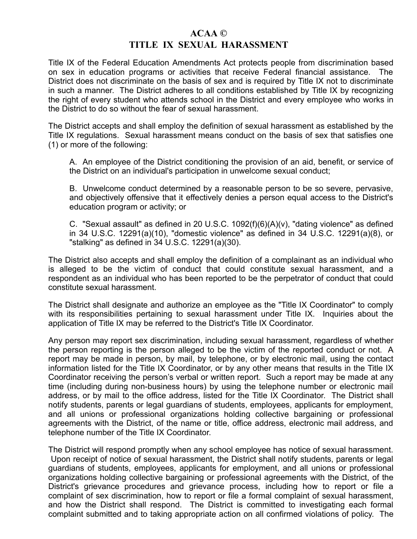## **ACAA © TITLE IX SEXUAL HARASSMENT**

Title IX of the Federal Education Amendments Act protects people from discrimination based on sex in education programs or activities that receive Federal financial assistance. The District does not discriminate on the basis of sex and is required by Title IX not to discriminate in such a manner. The District adheres to all conditions established by Title IX by recognizing the right of every student who attends school in the District and every employee who works in the District to do so without the fear of sexual harassment.

The District accepts and shall employ the definition of sexual harassment as established by the Title IX regulations. Sexual harassment means conduct on the basis of sex that satisfies one (1) or more of the following:

A. An employee of the District conditioning the provision of an aid, benefit, or service of the District on an individual's participation in unwelcome sexual conduct;

B. Unwelcome conduct determined by a reasonable person to be so severe, pervasive, and objectively offensive that it effectively denies a person equal access to the District's education program or activity; or

C. "Sexual assault" as defined in 20 U.S.C. 1092(f)(6)(A)(v), "dating violence" as defined in 34 U.S.C. 12291(a)(10), "domestic violence" as defined in 34 U.S.C. 12291(a)(8), or "stalking" as defined in 34 U.S.C. 12291(a)(30).

The District also accepts and shall employ the definition of a complainant as an individual who is alleged to be the victim of conduct that could constitute sexual harassment, and a respondent as an individual who has been reported to be the perpetrator of conduct that could constitute sexual harassment.

The District shall designate and authorize an employee as the "Title IX Coordinator" to comply with its responsibilities pertaining to sexual harassment under Title IX. Inquiries about the application of Title IX may be referred to the District's Title IX Coordinator.

Any person may report sex discrimination, including sexual harassment, regardless of whether the person reporting is the person alleged to be the victim of the reported conduct or not. A report may be made in person, by mail, by telephone, or by electronic mail, using the contact information listed for the Title IX Coordinator, or by any other means that results in the Title IX Coordinator receiving the person's verbal or written report. Such a report may be made at any time (including during non-business hours) by using the telephone number or electronic mail address, or by mail to the office address, listed for the Title IX Coordinator. The District shall notify students, parents or legal guardians of students, employees, applicants for employment, and all unions or professional organizations holding collective bargaining or professional agreements with the District, of the name or title, office address, electronic mail address, and telephone number of the Title IX Coordinator.

The District will respond promptly when any school employee has notice of sexual harassment. Upon receipt of notice of sexual harassment, the District shall notify students, parents or legal guardians of students, employees, applicants for employment, and all unions or professional organizations holding collective bargaining or professional agreements with the District, of the District's grievance procedures and grievance process, including how to report or file a complaint of sex discrimination, how to report or file a formal complaint of sexual harassment, and how the District shall respond. The District is committed to investigating each formal complaint submitted and to taking appropriate action on all confirmed violations of policy. The